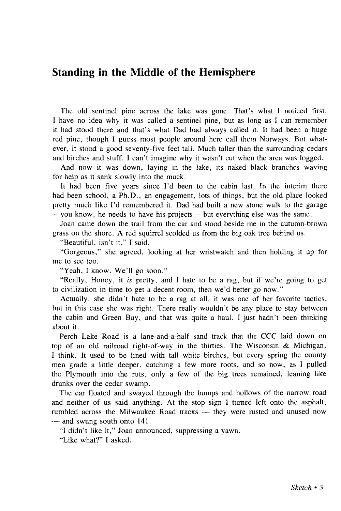## Standing in the Middle of the Hemisphere

The old sentinel pine across the lake was gone. That's what I noticed first. I have no idea why it was called a sentinel pine, but as long as I can remember it had stood there and that's what Dad had always called it. It had been a huge red pine, though I guess most people around here call them Norways. But whatever, it stood a good seventy-five feet tall. Much taller than the surrounding cedars and birches and stuff. I can't imagine why it wasn't cut when the area was logged.

And now it was down, laying in the lake, its naked black branches waving for help as it sank slowly into the muck.

It had been five years since I'd been to the cabin last. In the interim there had been school, a Ph.D., an engagement, lots of things, but the old place looked pretty much like I'd remembered it. Dad had built a new stone walk to the garage — you know, he needs to have his projects — but everything else was the same.

Joan came down the trail from the car and stood beside me in the autumn-brown grass on the shore. A red squirrel scolded us from the big oak tree behind us.

"Beautiful, isn't it," I said.

"Gorgeous," she agreed, looking at her wristwatch and then holding it up for me to see too.

"Yeah, I know. We'll go soon."

"Really, Honey, it *is* pretty, and I hate to be a rag, but if we're going to get to civilization in time to get a decent room, then we'd better go now."

Actually, she didn't hate to be a rag at all, it was one of her favorite tactics, but in this case she was right. There really wouldn't be any place to stay between the cabin and Green Bay, and that was quite a haul. I just hadn't been thinking about it.

Perch Lake Road is a lane-and-a-half sand track that the CCC laid down on top of an old railroad right-of-way in the thirties. The Wisconsin & Michigan, I think. It used to be lined with tall white birches, but every spring the county men grade a little deeper, catching a few more roots, and so now, as I pulled the Plymouth into the ruts, only a few of the big trees remained, leaning like drunks over the cedar swamp.

The car floated and swayed through the bumps and hollows of the narrow road and neither of us said anything. At the stop sign I turned left onto the asphalt, rumbled across the Milwaukee Road tracks — they were rusted and unused now — and swung south onto 141.

"I didn't like it," Joan announced, suppressing a yawn.

"Like what?" I asked.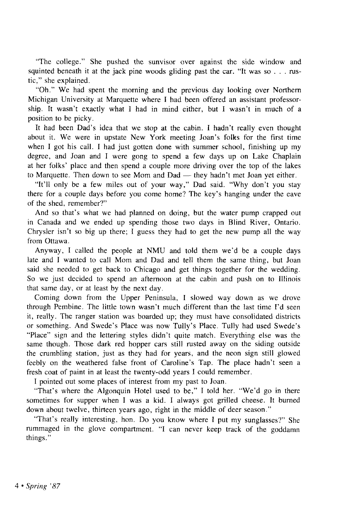"The college." She pushed the sunvisor over against the side window and squinted beneath it at the jack pine woods gliding past the car. "It was so . . . rustic," she explained.

"Oh." We had spent the morning and the previous day looking over Northern Michigan University at Marquette where I had been offered an assistant professorship. It wasn't exactly what I had in mind either, but I wasn't in much of a position to be picky.

It had been Dad's idea that we stop at the cabin. I hadn't really even thought about it. We were in upstate New York meeting Joan's folks for the first time when I got his call. I had just gotten done with summer school, finishing up my degree, and Joan and I were gong to spend a few days up on Lake Chaplain at her folks' place and then spend a couple more driving over the top of the lakes to Marquette. Then down to see Mom and Dad — they hadn't met Joan yet either.

"It'll only be a few miles out of your way," Dad said. "Why don't you stay there for a couple days before you come home? The key's hanging under the eave of the shed, remember?"

And so that's what we had planned on doing, but the water pump crapped out in Canada and we ended up spending those two days in Blind River, Ontario. Chrysler isn't so big up there; I guess they had to get the new pump all the way from Ottawa.

Anyway, I called the people at NMU and told them we'd be a couple days late and I wanted to call Mom and Dad and tell them the same thing, but Joan said she needed to get back to Chicago and get things together for the wedding. So we just decided to spend an afternoon at the cabin and push on to Illinois that same day, or at least by the next day.

Coming down from the Upper Peninsula, I slowed way down as we drove through Pembine. The little town wasn't much different than the last time I'd seen it, really. The ranger station was boarded up; they must have consolidated districts or something. And Swede's Place was now Tully's Place. Tully had used Swede's "Place" sign and the lettering styles didn't quite match. Everything else was the same though. Those dark red hopper cars still rusted away on the siding outside the crumbling station, just as they had for years, and the neon sign still glowed feebly on the weathered false front of Caroline's Tap. The place hadn't seen a fresh coat of paint in at least the twenty-odd years I could remember.

I pointed out some places of interest from my past to Joan.

"That's where the Algonquin Hotel used to be," I told her. "We'd go in there sometimes for supper when I was a kid. I always got grilled cheese. It burned down about twelve, thirteen years ago, right in the middle of deer season."

"That's really interesting, hon. Do you know where I put my sunglasses?" She rummaged in the glove compartment. "I can never keep track of the goddamn things."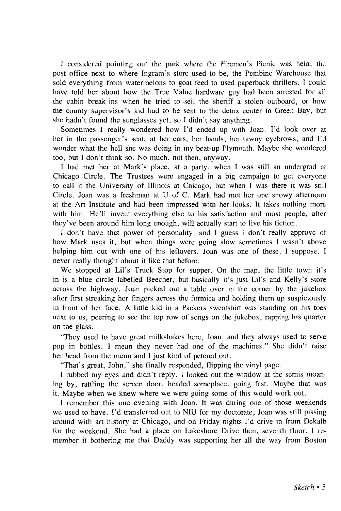I considered pointing out the park where the Firemen's Picnic was held, the post office next to where Ingram's store used to be, the Pembine Warehouse that sold everything from watermelons to goat feed to used paperback thrillers. I could have told her about how the True Value hardware guy had been arrested for all the cabin break-ins when he tried to sell the sheriff a stolen outboard, or how the county supervisor's kid had to be sent to the detox center in Green Bay, but she hadn't found the sunglasses yet, so I didn't say anything.

Sometimes I really wondered how I'd ended up with Joan. I'd look over at her in the passenger's seat, at her ears, her hands, her tawny eyebrows, and I'd wonder what the hell she was doing in my beat-up Plymouth. Maybe she wondered too, but I don't think so. No much, not then, anyway.

I had met her at Mark's place, at a party, when I was still an undergrad at Chicago Circle. The Trustees were engaged in a big campaign to get everyone to call it the University of Illinois at Chicago, but when I was there it was still Circle. Joan was a freshman at U of C. Mark had met her one snowy afternoon at the Art Institute and had been impressed with her looks. It takes nothing more with him. He'll invent everything else to his satisfaction and most people, after they've been around him long enough, will actually start to live his fiction.

I don't have that power of personality, and I guess I don't really approve of how Mark uses it, but when things were going slow sometimes I wasn't above helping him out with one of his leftovers. Joan was one of these, I suppose. I never really thought about it like that before.

We stopped at Lil's Truck Stop for supper. On the map, the little town it's in is a blue circle labelled Beecher, but basically it's just Lil's and Kelly's store across the highway. Joan picked out a table over in the corner by the jukebox after first streaking her fingers across the formica and holding them up suspiciously in front of her face. A little kid in a Packers sweatshirt was standing on his toes next to us, peering to see the top row of songs on the jukebox, rapping his quarter on the glass.

"They used to have great milkshakes here, Joan, and they always used to serve pop in bottles. I mean they never had one of the machines." She didn't raise her head from the menu and I just kind of petered out.

"That's great, John," she finally responded, flipping the vinyl page.

I rubbed my eyes and didn't reply. I looked out the window at the semis moaning by, rattling the screen door, headed someplace, going fast. Maybe that was it. Maybe when we knew where we were going some of this would work out.

I remember this one evening with Joan. It was during one of those weekends we used to have. I'd transferred out to NIU for my doctorate, Joan was still pissing around with art history at Chicago, and on Friday nights I'd drive in from Dekalb for the weekend. She had a place on Lakeshore Drive then, seventh floor. I remember it bothering me that Daddy was supporting her all the way from Boston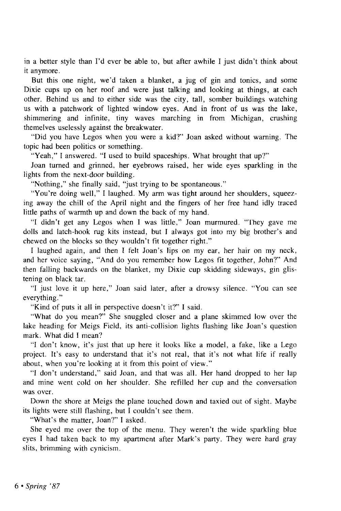in a better style than I'd ever be able to, but after awhile I just didn't think about it anymore.

But this one night, we'd taken a blanket, a jug of gin and tonics, and some Dixie cups up on her roof and were just talking and looking at things, at each other. Behind us and to either side was the city, tall, somber buildings watching us with a patchwork of lighted window eyes. And in front of us was the lake, shimmering and infinite, tiny waves marching in from Michigan, crushing themelves uselessly against the breakwater.

"Did you have Legos when you were a kid?" Joan asked without warning. The topic had been politics or something.

"Yeah," I answered. "I used to build spaceships. What brought that up?"

Joan turned and grinned, her eyebrows raised, her wide eyes sparkling in the lights from the next-door building.

"Nothing," she finally said, "just trying to be spontaneous."

"You're doing well," I laughed. My arm was tight around her shoulders, squeezing away the chill of the April night and the fingers of her free hand idly traced little paths of warmth up and down the back of my hand.

"I didn't get any Legos when I was little," Joan murmured. "They gave me dolls and latch-hook rug kits instead, but I always got into my big brother's and chewed on the blocks so they wouldn't fit together right."

I laughed again, and then I felt Joan's lips on my ear, her hair on my neck, and her voice saying, "And do you remember how Legos fit together, John?" And then falling backwards on the blanket, my Dixie cup skidding sideways, gin glistening on black tar.

"I just love it up here," Joan said later, after a drowsy silence. "You can see everything."

"Kind of puts it all in perspective doesn't it?" I said.

"What do you mean?" She snuggled closer and a plane skimmed low over the lake heading for Meigs Field, its anti-collision lights flashing like Joan's question mark. What did I mean?

"I don't know, it's just that up here it looks like a model, a fake, like a Lego project. It's easy to understand that it's not real, that it's not what life if really about, when you're looking at it from this point of view."

"I don't understand," said Joan, and that was all. Her hand dropped to her lap and mine went cold on her shoulder. She refilled her cup and the conversation was over.

Down the shore at Meigs the plane touched down and taxied out of sight. Maybe its lights were still flashing, but I couldn't see them.

"What's the matter, Joan?" I asked.

She eyed me over the top of the menu. They weren't the wide sparkling blue eyes I had taken back to my apartment after Mark's party. They were hard gray slits, brimming with cynicism.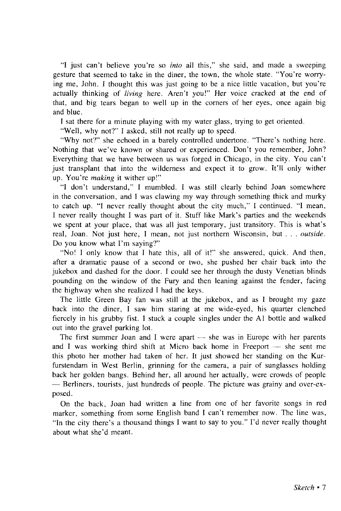"I just can't believe you're so *into* all this," she said, and made a sweeping gesture that seemed to take in the diner, the town, the whole state. "You're worrying me, John. I thought this was just going to be a nice little vacation, but you're actually thinking of *living* here. Aren't you!" Her voice cracked at the end of that, and big tears began to well up in the corners of her eyes, once again big and blue.

I sat there for a minute playing with my water glass, trying to get oriented.

"Well, why not?" I asked, still not really up to speed.

"Why not?" she echoed in a barely controlled undertone. "There's nothing here. Nothing that we've known or shared or experienced. Don't you remember, John? Everything that we have between us was forged in Chicago, in the city. You can't just transplant that into the wilderness and expect it to grow. It'll only wither up. You're *making* it wither up!"

"I don't understand," I mumbled. I was still clearly behind Joan somewhere in the conversation, and I was clawing my way through something thick and murky to catch up. "I never really thought about the city much," I continued. "1 mean, I never really thought I was part of it. Stuff like Mark's parties and the weekends we spent at your place, that was all just temporary, just transitory. This is what's real, Joan. Not just here, I mean, not just northern Wisconsin, but . . . *outside.*  Do you know what I'm saying?"

"No! I only know that I hate this, all of it!" she answered, quick. And then, after a dramatic pause of a second or two, she pushed her chair back into the jukebox and dashed for the door. I could see her through the dusty Venetian blinds pounding on the window of the Fury and then leaning against the fender, facing the highway when she realized I had the keys.

The little Green Bay fan was still at the jukebox, and as I brought my gaze back into the diner, I saw him staring at me wide-eyed, his quarter clenched fiercely in his grubby fist. I stuck a couple singles under the Al bottle and walked out into the gravel parking lot.

The first summer Joan and I were apart — she was in Europe with her parents and I was working third shift at Micro back home in Freeport — she sent me this photo her mother had taken of her. It just showed her standing on the Kurfurstendam in West Berlin, grinning for the camera, a pair of sunglasses holding back her golden bangs. Behind her, all around her actually, were crowds of people — Berliners, tourists, just hundreds of people. The picture was grainy and over-exposed.

On the back, Joan had written a line from one of her favorite songs in red marker, something from some English band I can't remember now. The line was, "In the city there's a thousand things I want to say to you." I'd never really thought about what she'd meant.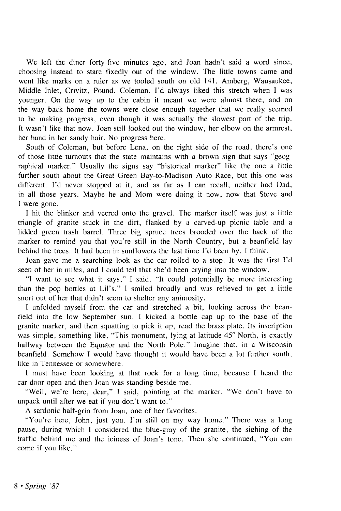We left the diner forty-five minutes ago, and Joan hadn't said a word since, choosing instead to stare fixedly out of the window. The little towns came and went like marks on a ruler as we tooled south on old 141. Amberg, Wausaukee, Middle Inlet, Crivitz, Pound, Coleman. I'd always liked this stretch when I was younger. On the way up to the cabin it meant we were almost there, and on the way back home the towns were close enough together that we really seemed to be making progress, even though it was actually the slowest part of the trip. It wasn't like that now. Joan still looked out the window, her elbow on the armrest, her hand in her sandy hair. No progress here.

South of Coleman, but before Lena, on the right side of the road, there's one of those little turnouts that the state maintains with a brown sign that says "geographical marker." Usually the signs say "historical marker" like the one a little further south about the Great Green Bay-to-Madison Auto Race, but this one was different. I'd never stopped at it, and as far as I can recall, neither had Dad, in all those years. Maybe he and Mom were doing it now, now that Steve and I were gone.

I hit the blinker and veered onto the gravel. The marker itself was just a little triangle of granite stuck in the dirt, flanked by a carved-up picnic table and a lidded green trash barrel. Three big spruce trees brooded over the back of the marker to remind you that you're still in the North Country, but a beanfield lay behind the trees. It had been in sunflowers the last time I'd been by, I think.

Joan gave me a searching look as the car rolled to a stop. It was the first I'd seen of her in miles, and I could tell that she'd been crying into the window.

"I want to see what it says," I said. "It could potentially be more interesting than the pop bottles at Lil's." I smiled broadly and was relieved to get a little snort out of her that didn't seem to shelter any animosity.

I unfolded myself from the car and stretched a bit, looking across the beanfield into the low September sun. I kicked a bottle cap up to the base of the granite marker, and then squatting to pick it up, read the brass plate. Its inscription was simple, something like, "This monument, lying at latitude 45° North, is exactly halfway between the Equator and the North Pole." Imagine that, in a Wisconsin beanfield. Somehow I would have thought it would have been a lot further south, like in Tennessee or somewhere.

I must have been looking at that rock for a long time, because I heard the car door open and then Joan was standing beside me.

"Well, we're here, dear," I said, pointing at the marker. "We don't have to unpack until after we eat if you don't want to."

A sardonic half-grin from Joan, one of her favorites.

"You're here, John, just you. I'm still on my way home." There was a long pause, during which I considered the blue-gray of the granite, the sighing of the traffic behind me and the iciness of Joan's tone. Then she continued, "You can come if you like."